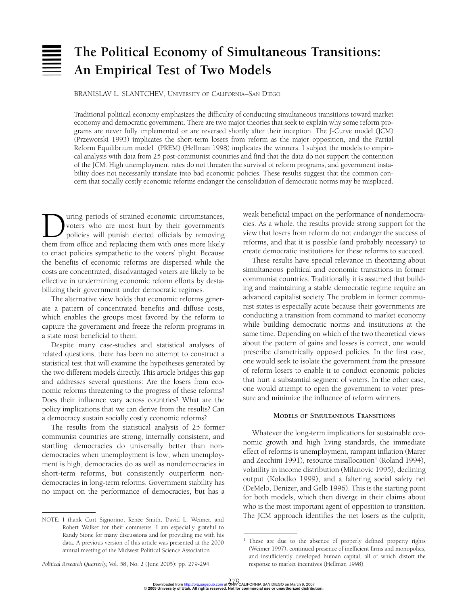

# **The Political Economy of Simultaneous Transitions: An Empirical Test of Two Models**

BRANISLAV L. SLANTCHEV, UNIVERSITY OF CALIFORNIA–SAN DIEGO

Traditional political economy emphasizes the difficulty of conducting simultaneous transitions toward market economy and democratic government. There are two major theories that seek to explain why some reform programs are never fully implemented or are reversed shortly after their inception. The J-Curve model (JCM) (Przeworski 1993) implicates the short-term losers from reform as the major opposition, and the Partial Reform Equilibrium model (PREM) (Hellman 1998) implicates the winners. I subject the models to empirical analysis with data from 25 post-communist countries and find that the data do not support the contention of the JCM. High unemployment rates do not threaten the survival of reform programs, and government instability does not necessarily translate into bad economic policies. These results suggest that the common concern that socially costly economic reforms endanger the consolidation of democratic norms may be misplaced.

**During periods of strained economic circumstances,** voters who are most hurt by their government's policies will punish elected officials by removing them from office and replacing them with ones more likely voters who are most hurt by their government's policies will punish elected officials by removing them from office and replacing them with ones more likely to enact policies sympathetic to the voters' plight. Because the benefits of economic reforms are dispersed while the costs are concentrated, disadvantaged voters are likely to be effective in undermining economic reform efforts by destabilizing their government under democratic regimes.

The alternative view holds that economic reforms generate a pattern of concentrated benefits and diffuse costs, which enables the groups most favored by the reform to capture the government and freeze the reform programs in a state most beneficial to them.

Despite many case-studies and statistical analyses of related questions, there has been no attempt to construct a statistical test that will examine the hypotheses generated by the two different models directly. This article bridges this gap and addresses several questions: Are the losers from economic reforms threatening to the progress of these reforms? Does their influence vary across countries? What are the policy implications that we can derive from the results? Can a democracy sustain socially costly economic reforms?

The results from the statistical analysis of 25 former communist countries are strong, internally consistent, and startling: democracies do universally better than nondemocracies when unemployment is low; when unemployment is high, democracies do as well as nondemocracies in short-term reforms, but consistently outperform nondemocracies in long-term reforms. Government stability has no impact on the performance of democracies, but has a

NOTE: I thank Curt Signorino, Renée Smith, David L. Weimer, and Robert Walker for their comments. I am especially grateful to Randy Stone for many discussions and for providing me with his data. A previous version of this article was presented at the 2000 annual meeting of the Midwest Political Science Association.

weak beneficial impact on the performance of nondemocracies. As a whole, the results provide strong support for the view that losers from reform do not endanger the success of reforms, and that it is possible (and probably necessary) to create democratic institutions for these reforms to succeed.

These results have special relevance in theorizing about simultaneous political and economic transitions in former communist countries. Traditionally, it is assumed that building and maintaining a stable democratic regime require an advanced capitalist society. The problem in former communist states is especially acute because their governments are conducting a transition from command to market economy while building democratic norms and institutions at the same time. Depending on which of the two theoretical views about the pattern of gains and losses is correct, one would prescribe diametrically opposed policies. In the first case, one would seek to isolate the government from the pressure of reform losers to enable it to conduct economic policies that hurt a substantial segment of voters. In the other case, one would attempt to open the government to voter pressure and minimize the influence of reform winners.

# **MODELS OF SIMULTANEOUS TRANSITIONS**

Whatever the long-term implications for sustainable economic growth and high living standards, the immediate effect of reforms is unemployment, rampant inflation (Marer and Zecchini 1991), resource misallocation<sup>1</sup> (Roland 1994), volatility in income distribution (Milanovic 1995), declining output (Kolodko 1999), and a faltering social safety net (DeMelo, Denizer, and Gelb 1996). This is the starting point for both models, which then diverge in their claims about who is the most important agent of opposition to transition. The JCM approach identifies the net losers as the culprit,

*Political Research Quarterly,* Vol. 58, No. 2 (June 2005): pp. 279-294

These are due to the absence of properly defined property rights (Weimer 1997), continued presence of inefficient firms and monopolies, and insufficiently developed human capital, all of which distort the response to market incentives (Hellman 1998).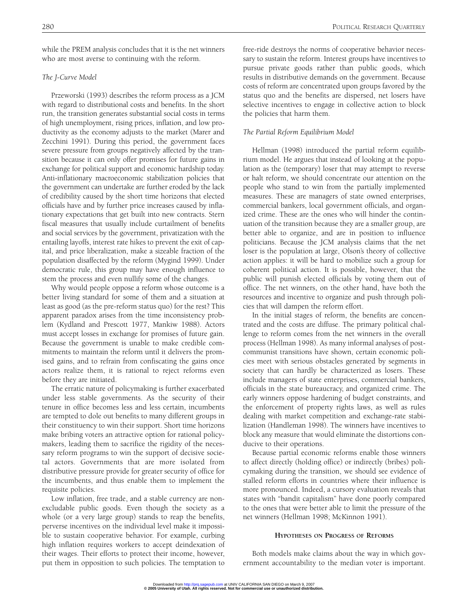while the PREM analysis concludes that it is the net winners who are most averse to continuing with the reform.

# *The J-Curve Model*

Przeworski (1993) describes the reform process as a JCM with regard to distributional costs and benefits. In the short run, the transition generates substantial social costs in terms of high unemployment, rising prices, inflation, and low productivity as the economy adjusts to the market (Marer and Zecchini 1991). During this period, the government faces severe pressure from groups negatively affected by the transition because it can only offer promises for future gains in exchange for political support and economic hardship today. Anti-inflationary macroeconomic stabilization policies that the government can undertake are further eroded by the lack of credibility caused by the short time horizons that elected officials have and by further price increases caused by inflationary expectations that get built into new contracts. Stern fiscal measures that usually include curtailment of benefits and social services by the government, privatization with the entailing layoffs, interest rate hikes to prevent the exit of capital, and price liberalization, make a sizeable fraction of the population disaffected by the reform (Mygind 1999). Under democratic rule, this group may have enough influence to stem the process and even nullify some of the changes.

Why would people oppose a reform whose outcome is a better living standard for some of them and a situation at least as good (as the pre-reform status quo) for the rest? This apparent paradox arises from the time inconsistency problem (Kydland and Prescott 1977, Mankiw 1988). Actors must accept losses in exchange for promises of future gain. Because the government is unable to make credible commitments to maintain the reform until it delivers the promised gains, and to refrain from confiscating the gains once actors realize them, it is rational to reject reforms even before they are initiated.

The erratic nature of policymaking is further exacerbated under less stable governments. As the security of their tenure in office becomes less and less certain, incumbents are tempted to dole out benefits to many different groups in their constituency to win their support. Short time horizons make bribing voters an attractive option for rational policymakers, leading them to sacrifice the rigidity of the necessary reform programs to win the support of decisive societal actors. Governments that are more isolated from distributive pressure provide for greater security of office for the incumbents, and thus enable them to implement the requisite policies.

Low inflation, free trade, and a stable currency are nonexcludable public goods. Even though the society as a whole (or a very large group) stands to reap the benefits, perverse incentives on the individual level make it impossible to sustain cooperative behavior. For example, curbing high inflation requires workers to accept deindexation of their wages. Their efforts to protect their income, however, put them in opposition to such policies. The temptation to

free-ride destroys the norms of cooperative behavior necessary to sustain the reform. Interest groups have incentives to pursue private goods rather than public goods, which results in distributive demands on the government. Because costs of reform are concentrated upon groups favored by the status quo and the benefits are dispersed, net losers have selective incentives to engage in collective action to block the policies that harm them.

# *The Partial Reform Equilibrium Model*

Hellman (1998) introduced the partial reform equilibrium model. He argues that instead of looking at the population as the (temporary) loser that may attempt to reverse or halt reform, we should concentrate our attention on the people who stand to win from the partially implemented measures. These are managers of state owned enterprises, commercial bankers, local government officials, and organized crime. These are the ones who will hinder the continuation of the transition because they are a smaller group, are better able to organize, and are in position to influence politicians. Because the JCM analysis claims that the net loser is the population at large, Olson's theory of collective action applies: it will be hard to mobilize such a group for coherent political action. It is possible, however, that the public will punish elected officials by voting them out of office. The net winners, on the other hand, have both the resources and incentive to organize and push through policies that will dampen the reform effort.

In the initial stages of reform, the benefits are concentrated and the costs are diffuse. The primary political challenge to reform comes from the net winners in the overall process (Hellman 1998). As many informal analyses of postcommunist transitions have shown, certain economic policies meet with serious obstacles generated by segments in society that can hardly be characterized as losers. These include managers of state enterprises, commercial bankers, officials in the state bureaucracy, and organized crime. The early winners oppose hardening of budget constraints, and the enforcement of property rights laws, as well as rules dealing with market competition and exchange-rate stabilization (Handleman 1998). The winners have incentives to block any measure that would eliminate the distortions conducive to their operations.

Because partial economic reforms enable those winners to affect directly (holding office) or indirectly (bribes) policymaking during the transition, we should see evidence of stalled reform efforts in countries where their influence is more pronounced. Indeed, a cursory evaluation reveals that states with "bandit capitalism" have done poorly compared to the ones that were better able to limit the pressure of the net winners (Hellman 1998; McKinnon 1991).

#### **HYPOTHESES ON PROGRESS OF REFORMS**

Both models make claims about the way in which government accountability to the median voter is important.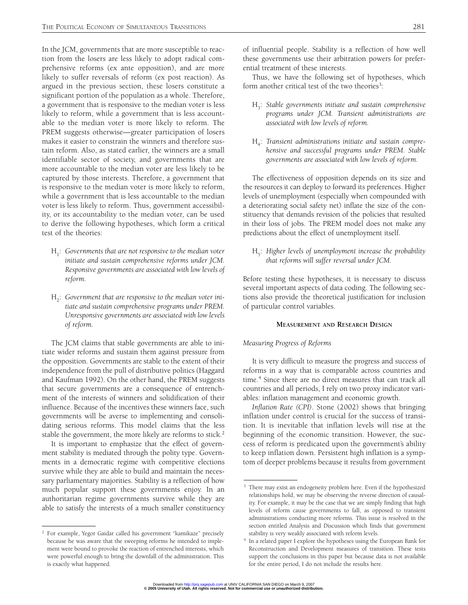In the JCM, governments that are more susceptible to reaction from the losers are less likely to adopt radical comprehensive reforms (ex ante opposition), and are more likely to suffer reversals of reform (ex post reaction). As argued in the previous section, these losers constitute a significant portion of the population as a whole. Therefore, a government that is responsive to the median voter is less likely to reform, while a government that is less accountable to the median voter is more likely to reform. The PREM suggests otherwise—greater participation of losers makes it easier to constrain the winners and therefore sustain reform. Also, as stated earlier, the winners are a small identifiable sector of society, and governments that are more accountable to the median voter are less likely to be captured by those interests. Therefore, a government that is responsive to the median voter is more likely to reform, while a government that is less accountable to the median voter is less likely to reform. Thus, government accessibility, or its accountability to the median voter, can be used to derive the following hypotheses, which form a critical test of the theories:

- H<sub>1</sub>: *Governments that are not responsive to the median voter initiate and sustain comprehensive reforms under JCM. Responsive governments are associated with low levels of reform.*
- H<sub>2</sub>: Government that are responsive to the median voter ini*tiate and sustain comprehensive programs under PREM. Unresponsive governments are associated with low levels of reform.*

The JCM claims that stable governments are able to initiate wider reforms and sustain them against pressure from the opposition. Governments are stable to the extent of their independence from the pull of distributive politics (Haggard and Kaufman 1992). On the other hand, the PREM suggests that secure governments are a consequence of entrenchment of the interests of winners and solidification of their influence. Because of the incentives these winners face, such governments will be averse to implementing and consolidating serious reforms. This model claims that the less stable the government, the more likely are reforms to stick.<sup>2</sup>

It is important to emphasize that the effect of government stability is mediated through the polity type. Governments in a democratic regime with competitive elections survive while they are able to build and maintain the necessary parliamentary majorities. Stability is a reflection of how much popular support these governments enjoy. In an authoritarian regime governments survive while they are able to satisfy the interests of a much smaller constituency

of influential people. Stability is a reflection of how well these governments use their arbitration powers for preferential treatment of these interests.

Thus, we have the following set of hypotheses, which form another critical test of the two theories<sup>3</sup>:

- H3: *Stable governments initiate and sustain comprehensive programs under JCM. Transient administrations are associated with low levels of reform.*
- H4: *Transient administrations initiate and sustain comprehensive and successful programs under PREM. Stable governments are associated with low levels of reform.*

The effectiveness of opposition depends on its size and the resources it can deploy to forward its preferences. Higher levels of unemployment (especially when compounded with a deteriorating social safety net) inflate the size of the constituency that demands revision of the policies that resulted in their loss of jobs. The PREM model does not make any predictions about the effect of unemployment itself.

H<sub>5</sub>: Higher levels of unemployment increase the probability *that reforms will suffer reversal under JCM.*

Before testing these hypotheses, it is necessary to discuss several important aspects of data coding. The following sections also provide the theoretical justification for inclusion of particular control variables.

# **MEASUREMENT AND RESEARCH DESIGN**

# *Measuring Progress of Reforms*

It is very difficult to measure the progress and success of reforms in a way that is comparable across countries and time.4 Since there are no direct measures that can track all countries and all periods, I rely on two proxy indicator variables: inflation management and economic growth.

*Inflation Rate (CPI)*. Stone (2002) shows that bringing inflation under control is crucial for the success of transition. It is inevitable that inflation levels will rise at the beginning of the economic transition. However, the success of reform is predicated upon the government's ability to keep inflation down. Persistent high inflation is a symptom of deeper problems because it results from government

<sup>2</sup> For example, Yegor Gaidar called his government "kamikaze" precisely because he was aware that the sweeping reforms he intended to implement were bound to provoke the reaction of entrenched interests, which were powerful enough to bring the downfall of the administration. This is exactly what happened.

<sup>&</sup>lt;sup>3</sup> There may exist an endogeneity problem here. Even if the hypothesized relationships hold, we may be observing the reverse direction of causality. For example, it may be the case that we are simply finding that high levels of reform cause governments to fall, as opposed to transient administrations conducting more reforms. This issue is resolved in the section entitled Analysis and Discussion which finds that government stability is very weakly associated with reform levels.

In a related paper I explore the hypotheses using the European Bank for Reconstruction and Development measures of transition. These tests support the conclusions in this paper but because data is not available for the entire period, I do not include the results here.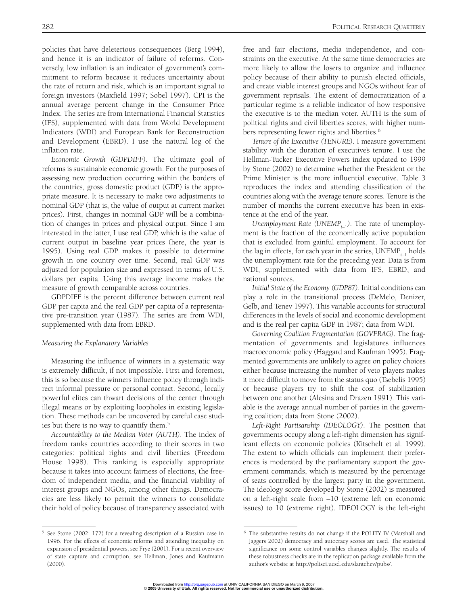policies that have deleterious consequences (Berg 1994), and hence it is an indicator of failure of reforms. Conversely, low inflation is an indicator of government's commitment to reform because it reduces uncertainty about the rate of return and risk, which is an important signal to foreign investors (Maxfield 1997; Sobel 1997). CPI is the annual average percent change in the Consumer Price Index. The series are from International Financial Statistics (IFS), supplemented with data from World Development Indicators (WDI) and European Bank for Reconstruction and Development (EBRD). I use the natural log of the inflation rate.

*Economic Growth (GDPDIFF)*. The ultimate goal of reforms is sustainable economic growth. For the purposes of assessing new production occurring within the borders of the countries, gross domestic product (GDP) is the appropriate measure. It is necessary to make two adjustments to nominal GDP (that is, the value of output at current market prices). First, changes in nominal GDP will be a combination of changes in prices and physical output. Since I am interested in the latter, I use real GDP, which is the value of current output in baseline year prices (here, the year is 1995). Using real GDP makes it possible to determine growth in one country over time. Second, real GDP was adjusted for population size and expressed in terms of U.S. dollars per capita. Using this average income makes the measure of growth comparable across countries.

GDPDIFF is the percent difference between current real GDP per capita and the real GDP per capita of a representative pre-transition year (1987). The series are from WDI, supplemented with data from EBRD.

# *Measuring the Explanatory Variables*

Measuring the influence of winners in a systematic way is extremely difficult, if not impossible. First and foremost, this is so because the winners influence policy through indirect informal pressure or personal contact. Second, locally powerful elites can thwart decisions of the center through illegal means or by exploiting loopholes in existing legislation. These methods can be uncovered by careful case studies but there is no way to quantify them.<sup>5</sup>

*Accountability to the Median Voter (AUTH)*. The index of freedom ranks countries according to their scores in two categories: political rights and civil liberties (Freedom House 1998). This ranking is especially appropriate because it takes into account fairness of elections, the freedom of independent media, and the financial viability of interest groups and NGOs, among other things. Democracies are less likely to permit the winners to consolidate their hold of policy because of transparency associated with

free and fair elections, media independence, and constraints on the executive. At the same time democracies are more likely to allow the losers to organize and influence policy because of their ability to punish elected officials, and create viable interest groups and NGOs without fear of government reprisals. The extent of democratization of a particular regime is a reliable indicator of how responsive the executive is to the median voter. AUTH is the sum of political rights and civil liberties scores, with higher numbers representing fewer rights and liberties.<sup>6</sup>

*Tenure of the Executive (TENURE)*. I measure government stability with the duration of executive's tenure. I use the Hellman-Tucker Executive Powers index updated to 1999 by Stone (2002) to determine whether the President or the Prime Minister is the more influential executive. Table 3 reproduces the index and attending classification of the countries along with the average tenure scores. Tenure is the number of months the current executive has been in existence at the end of the year.

*Unemployment Rate (UNEMP<sub>t-1</sub>)*. The rate of unemployment is the fraction of the economically active population that is excluded from gainful employment. To account for the lag in effects, for each year in the series,  $\text{UNEMP}_{t-1}$  holds the unemployment rate for the preceding year. Data is from WDI, supplemented with data from IFS, EBRD, and national sources.

*Initial State of the Economy (GDP87)*. Initial conditions can play a role in the transitional process (DeMelo, Denizer, Gelb, and Tenev 1997). This variable accounts for structural differences in the levels of social and economic development and is the real per capita GDP in 1987; data from WDI.

*Governing Coalition Fragmentation (GOVFRAG)*. The fragmentation of governments and legislatures influences macroeconomic policy (Haggard and Kaufman 1995). Fragmented governments are unlikely to agree on policy choices either because increasing the number of veto players makes it more difficult to move from the status quo (Tsebelis 1995) or because players try to shift the cost of stabilization between one another (Alesina and Drazen 1991). This variable is the average annual number of parties in the governing coalition; data from Stone (2002).

*Left-Right Partisanship (IDEOLOGY)*. The position that governments occupy along a left-right dimension has significant effects on economic policies (Kitschelt et al. 1999). The extent to which officials can implement their preferences is moderated by the parliamentary support the government commands, which is measured by the percentage of seats controlled by the largest party in the government. The ideology score developed by Stone (2002) is measured on a left-right scale from –10 (extreme left on economic issues) to 10 (extreme right). IDEOLOGY is the left-right

<sup>5</sup> See Stone (2002: 172) for a revealing description of a Russian case in 1996. For the effects of economic reforms and attending inequality on expansion of presidential powers, see Frye (2001). For a recent overview of state capture and corruption, see Hellman, Jones and Kaufmann (2000).

<sup>6</sup> The substantive results do not change if the POLITY IV (Marshall and Jaggers 2002) democracy and autocracy scores are used. The statistical significance on some control variables changes slightly. The results of these robustness checks are in the replication package available from the author's website at http://polisci.ucsd.edu/slantchev/pubs/.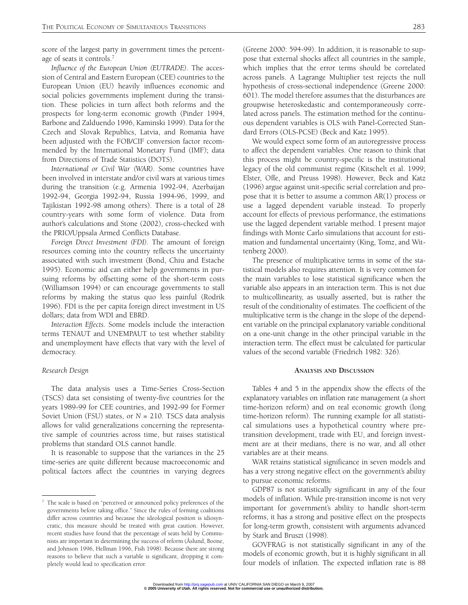score of the largest party in government times the percentage of seats it controls.7

*Influence of the European Union (EUTRADE)*. The accession of Central and Eastern European (CEE) countries to the European Union (EU) heavily influences economic and social policies governments implement during the transition. These policies in turn affect both reforms and the prospects for long-term economic growth (Pinder 1994, Barbone and Zalduendo 1996, Kaminski 1999). Data for the Czech and Slovak Republics, Latvia, and Romania have been adjusted with the FOB/CIF conversion factor recommended by the International Monetary Fund (IMF); data from Directions of Trade Statistics (DOTS).

*International or Civil War (WAR)*. Some countries have been involved in interstate and/or civil wars at various times during the transition (e.g. Armenia 1992-94, Azerbaijan 1992-94, Georgia 1992-94, Russia 1994-96, 1999, and Tajikistan 1992-98 among others). There is a total of 28 country-years with some form of violence. Data from author's calculations and Stone (2002), cross-checked with the PRIO/Uppsala Armed Conflicts Database.

*Foreign Direct Investment (FDI)*. The amount of foreign resources coming into the country reflects the uncertainty associated with such investment (Bond, Chiu and Estache 1995). Economic aid can either help governments in pursuing reforms by offsetting some of the short-term costs (Williamson 1994) or can encourage governments to stall reforms by making the status quo less painful (Rodrik 1996). FDI is the per capita foreign direct investment in US dollars; data from WDI and EBRD.

*Interaction Effects*. Some models include the interaction terms TENAUT and UNEMPAUT to test whether stability and unemployment have effects that vary with the level of democracy.

# *Research Design*

The data analysis uses a Time-Series Cross-Section (TSCS) data set consisting of twenty-five countries for the years 1989-99 for CEE countries, and 1992-99 for Former Soviet Union (FSU) states, or *N* = 210. TSCS data analysis allows for valid generalizations concerning the representative sample of countries across time, but raises statistical problems that standard OLS cannot handle.

It is reasonable to suppose that the variances in the 25 time-series are quite different because macroeconomic and political factors affect the countries in varying degrees

(Greene 2000: 594-99). In addition, it is reasonable to suppose that external shocks affect all countries in the sample, which implies that the error terms should be correlated across panels. A Lagrange Multiplier test rejects the null hypothesis of cross-sectional independence (Greene 2000: 601). The model therefore assumes that the disturbances are groupwise heteroskedastic and contemporaneously correlated across panels. The estimation method for the continuous dependent variables is OLS with Panel-Corrected Standard Errors (OLS-PCSE) (Beck and Katz 1995).

We would expect some form of an autoregressive process to affect the dependent variables. One reason to think that this process might be country-specific is the institutional legacy of the old communist regime (Kitschelt et al. 1999; Elster, Offe, and Preuss 1998). However, Beck and Katz (1996) argue against unit-specific serial correlation and propose that it is better to assume a common AR(1) process or use a lagged dependent variable instead. To properly account for effects of previous performance, the estimations use the lagged dependent variable method. I present major findings with Monte Carlo simulations that account for estimation and fundamental uncertainty (King, Tomz, and Wittenberg 2000).

The presence of multiplicative terms in some of the statistical models also requires attention. It is very common for the main variables to lose statistical significance when the variable also appears in an interaction term. This is not due to multicollinearity, as usually asserted, but is rather the result of the conditionality of estimates. The coefficient of the multiplicative term is the change in the slope of the dependent variable on the principal explanatory variable conditional on a one-unit change in the other principal variable in the interaction term. The effect must be calculated for particular values of the second variable (Friedrich 1982: 326).

#### **ANALYSIS AND DISCUSSION**

Tables 4 and 5 in the appendix show the effects of the explanatory variables on inflation rate management (a short time-horizon reform) and on real economic growth (long time-horizon reform). The running example for all statistical simulations uses a hypothetical country where pretransition development, trade with EU, and foreign investment are at their medians, there is no war, and all other variables are at their means.

WAR retains statistical significance in seven models and has a very strong negative effect on the government's ability to pursue economic reforms.

GDP87 is not statistically significant in any of the four models of inflation. While pre-transition income is not very important for government's ability to handle short-term reforms, it has a strong and positive effect on the prospects for long-term growth, consistent with arguments advanced by Stark and Bruszt (1998).

GOVFRAG is not statistically significant in any of the models of economic growth, but it is highly significant in all four models of inflation. The expected inflation rate is 88

<sup>7</sup> The scale is based on "perceived or announced policy preferences of the governments before taking office." Since the rules of forming coalitions differ across countries and because the ideological position is idiosyncratic, this measure should be treated with great caution. However, recent studies have found that the percentage of seats held by Communists are important in determining the success of reform (Åslund, Boone, and Johnson 1996, Hellman 1996, Fish 1998). Because there are strong reasons to believe that such a variable is significant, dropping it completely would lead to specification error.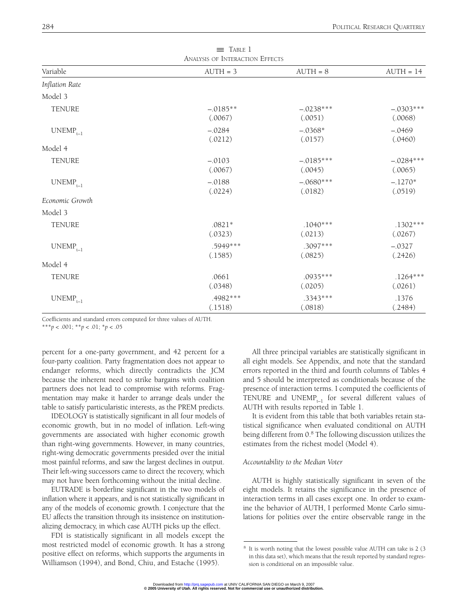| $\equiv$ LABLE 1<br>ANALYSIS OF INTERACTION EFFECTS |            |             |             |  |
|-----------------------------------------------------|------------|-------------|-------------|--|
| Variable                                            | $AUTH = 3$ | $AUTH = 8$  | $AUTH = 14$ |  |
| Inflation Rate                                      |            |             |             |  |
| Model 3                                             |            |             |             |  |
| <b>TENURE</b>                                       | $-.0185**$ | $-.0238***$ | $-.0303***$ |  |
|                                                     | (.0067)    | (.0051)     | (.0068)     |  |
| $UNEMP_{t-1}$                                       | $-.0284$   | $-.0368*$   | $-.0469$    |  |
|                                                     | (.0212)    | (.0157)     | (.0460)     |  |
| Model 4                                             |            |             |             |  |
| <b>TENURE</b>                                       | $-.0103$   | $-.0185***$ | $-.0284***$ |  |
|                                                     | (.0067)    | (.0045)     | (.0065)     |  |
| $UNEMPt-1$                                          | $-.0188$   | $-.0680***$ | $-.1270*$   |  |
|                                                     | (.0224)    | (.0182)     | (.0519)     |  |
| Economic Growth                                     |            |             |             |  |
| Model 3                                             |            |             |             |  |
| <b>TENURE</b>                                       | $.0821*$   | $.1040***$  | $.1302***$  |  |
|                                                     | (.0323)    | (.0213)     | (.0267)     |  |
| $UNEMPt-1$                                          | .5949 ***  | $.3097***$  | $-.0327$    |  |
|                                                     | (.1585)    | (.0825)     | (.2426)     |  |
| Model 4                                             |            |             |             |  |
| <b>TENURE</b>                                       | .0661      | $.0935***$  | $.1264***$  |  |
|                                                     | (.0348)    | (.0205)     | (.0261)     |  |
| $\ensuremath{\mathrm{UNEMP}_{\mathrm{t-l}}}$        | .4982 ***  | .3343***    | .1376       |  |
|                                                     | (.1518)    | (.0818)     | (.2484)     |  |

 $\equiv$  TABLE 1

Coefficients and standard errors computed for three values of AUTH.

\*\*\**p* < .001; \*\**p* < .01; \**p* < .05

percent for a one-party government, and 42 percent for a four-party coalition. Party fragmentation does not appear to endanger reforms, which directly contradicts the JCM because the inherent need to strike bargains with coalition partners does not lead to compromise with reforms. Fragmentation may make it harder to arrange deals under the table to satisfy particularistic interests, as the PREM predicts.

IDEOLOGY is statistically significant in all four models of economic growth, but in no model of inflation. Left-wing governments are associated with higher economic growth than right-wing governments. However, in many countries, right-wing democratic governments presided over the initial most painful reforms, and saw the largest declines in output. Their left-wing successors came to direct the recovery, which may not have been forthcoming without the initial decline.

EUTRADE is borderline significant in the two models of inflation where it appears, and is not statistically significant in any of the models of economic growth. I conjecture that the EU affects the transition through its insistence on institutionalizing democracy, in which case AUTH picks up the effect.

FDI is statistically significant in all models except the most restricted model of economic growth. It has a strong positive effect on reforms, which supports the arguments in Williamson (1994), and Bond, Chiu, and Estache (1995).

All three principal variables are statistically significant in all eight models. See Appendix, and note that the standard errors reported in the third and fourth columns of Tables 4 and 5 should be interpreted as conditionals because of the presence of interaction terms. I computed the coefficients of TENURE and UNEMP $_{t-1}$  for several different values of AUTH with results reported in Table 1.

It is evident from this table that both variables retain statistical significance when evaluated conditional on AUTH being different from 0.8 The following discussion utilizes the estimates from the richest model (Model 4).

# *Accountability to the Median Voter*

AUTH is highly statistically significant in seven of the eight models. It retains the significance in the presence of interaction terms in all cases except one. In order to examine the behavior of AUTH, I performed Monte Carlo simulations for polities over the entire observable range in the

<sup>8</sup> It is worth noting that the lowest possible value AUTH can take is 2 (3 in this data set), which means that the result reported by standard regression is conditional on an impossible value.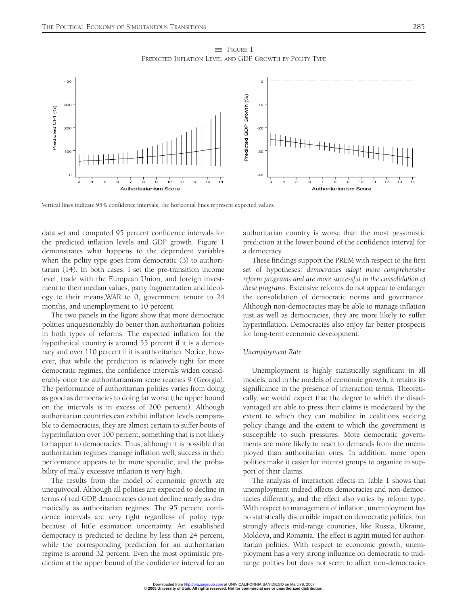$\equiv$  Figure 1 PREDICTED INFLATION LEVEL AND GDP GROWTH BY POLITY TYPE



Vertical lines indicate 95% confidence intervals, the horizontal lines represent expected values.

data set and computed 95 percent confidence intervals for the predicted inflation levels and GDP growth. Figure 1 demonstrates what happens to the dependent variables when the polity type goes from democratic (3) to authoritarian (14). In both cases, I set the pre-transition income level, trade with the European Union, and foreign investment to their median values, party fragmentation and ideology to their means,WAR to 0, government tenure to 24 months, and unemployment to 10 percent.

The two panels in the figure show that more democratic polities unquestionably do better than authoritarian polities in both types of reforms. The expected inflation for the hypothetical country is around 55 percent if it is a democracy and over 110 percent if it is authoritarian. Notice, however, that while the prediction is relatively tight for more democratic regimes, the confidence intervals widen considerably once the authoritarianism score reaches 9 (Georgia). The performance of authoritarian polities varies from doing as good as democracies to doing far worse (the upper bound on the intervals is in excess of 200 percent). Although authoritarian countries can exhibit inflation levels comparable to democracies, they are almost certain to suffer bouts of hyperinflation over 100 percent, something that is not likely to happen to democracies. Thus, although it is possible that authoritarian regimes manage inflation well, success in their performance appears to be more sporadic, and the probability of really excessive inflation is very high.

The results from the model of economic growth are unequivocal. Although all polities are expected to decline in terms of real GDP, democracies do not decline nearly as dramatically as authoritarian regimes. The 95 percent confidence intervals are very tight regardless of polity type because of little estimation uncertainty. An established democracy is predicted to decline by less than 24 percent, while the corresponding prediction for an authoritarian regime is around 32 percent. Even the most optimistic prediction at the upper bound of the confidence interval for an

authoritarian country is worse than the most pessimistic prediction at the lower bound of the confidence interval for a democracy.

These findings support the PREM with respect to the first set of hypotheses: *democracies adopt more comprehensive reform programs and are more successful in the consolidation of these programs*. Extensive reforms do not appear to endanger the consolidation of democratic norms and governance. Although non-democracies may be able to manage inflation just as well as democracies, they are more likely to suffer hyperinflation. Democracies also enjoy far better prospects for long-term economic development.

#### *Unemployment Rate*

Unemployment is highly statistically significant in all models, and in the models of economic growth, it retains its significance in the presence of interaction terms. Theoretically, we would expect that the degree to which the disadvantaged are able to press their claims is moderated by the extent to which they can mobilize in coalitions seeking policy change and the extent to which the government is susceptible to such pressures. More democratic governments are more likely to react to demands from the unemployed than authoritarian ones. In addition, more open polities make it easier for interest groups to organize in support of their claims.

The analysis of interaction effects in Table 1 shows that unemployment indeed affects democracies and non-democracies differently, and the effect also varies by reform type. With respect to management of inflation, unemployment has no statistically discernible impact on democratic polities, but strongly affects mid-range countries, like Russia, Ukraine, Moldova, and Romania. The effect is again muted for authoritarian polities. With respect to economic growth, unemployment has a very strong influence on democratic to midrange polities but does not seem to affect non-democracies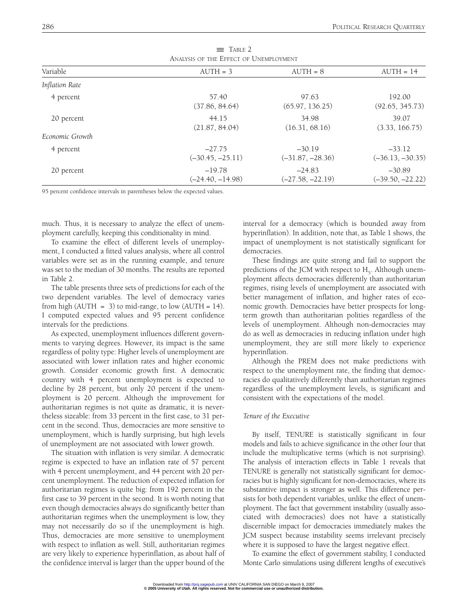| ANALYSIS OF THE EFFECT OF UNEMPLOYMENT |                    |                    |                    |
|----------------------------------------|--------------------|--------------------|--------------------|
| Variable                               | $AUTH = 3$         | $AUTH = 8$         | $AUTH = 14$        |
| Inflation Rate                         |                    |                    |                    |
| 4 percent                              | 57.40              | 97.63              | 192.00             |
|                                        | (37.86, 84.64)     | (65.97, 136.25)    | (92.65, 345.73)    |
| 20 percent                             | 44.15              | 34.98              | 39.07              |
|                                        | (21.87, 84.04)     | (16.31, 68.16)     | (3.33, 166.75)     |
| Economic Growth                        |                    |                    |                    |
| 4 percent                              | $-27.75$           | $-30.19$           | $-33.12$           |
|                                        | $(-30.45, -25.11)$ | $(-31.87, -28.36)$ | $(-36.13, -30.35)$ |
| 20 percent                             | $-19.78$           | $-24.83$           | $-30.89$           |
|                                        | $(-24.40, -14.98)$ | $(-27.58, -22.19)$ | $(-39.50, -22.22)$ |

 $\equiv$  TABLE 2

95 percent confidence intervals in parentheses below the expected values.

much. Thus, it is necessary to analyze the effect of unemployment carefully, keeping this conditionality in mind.

To examine the effect of different levels of unemployment, I conducted a fitted values analysis, where all control variables were set as in the running example, and tenure was set to the median of 30 months. The results are reported in Table 2.

The table presents three sets of predictions for each of the two dependent variables. The level of democracy varies from high (AUTH = 3) to mid-range, to low (AUTH = 14). I computed expected values and 95 percent confidence intervals for the predictions.

As expected, unemployment influences different governments to varying degrees. However, its impact is the same regardless of polity type: Higher levels of unemployment are associated with lower inflation rates and higher economic growth. Consider economic growth first. A democratic country with 4 percent unemployment is expected to decline by 28 percent, but only 20 percent if the unemployment is 20 percent. Although the improvement for authoritarian regimes is not quite as dramatic, it is nevertheless sizeable: from 33 percent in the first case, to 31 percent in the second. Thus, democracies are more sensitive to unemployment, which is hardly surprising, but high levels of unemployment are not associated with lower growth.

The situation with inflation is very similar. A democratic regime is expected to have an inflation rate of 57 percent with 4 percent unemployment, and 44 percent with 20 percent unemployment. The reduction of expected inflation for authoritarian regimes is quite big: from 192 percent in the first case to 39 percent in the second. It is worth noting that even though democracies always do significantly better than authoritarian regimes when the unemployment is low, they may not necessarily do so if the unemployment is high. Thus, democracies are more sensitive to unemployment with respect to inflation as well. Still, authoritarian regimes are very likely to experience hyperinflation, as about half of the confidence interval is larger than the upper bound of the

interval for a democracy (which is bounded away from hyperinflation). In addition, note that, as Table 1 shows, the impact of unemployment is not statistically significant for democracies.

These findings are quite strong and fail to support the predictions of the JCM with respect to  $H<sub>5</sub>$ . Although unemployment affects democracies differently than authoritarian regimes, rising levels of unemployment are associated with better management of inflation, and higher rates of economic growth. Democracies have better prospects for longterm growth than authoritarian polities regardless of the levels of unemployment. Although non-democracies may do as well as democracies in reducing inflation under high unemployment, they are still more likely to experience hyperinflation.

Although the PREM does not make predictions with respect to the unemployment rate, the finding that democracies do qualitatively differently than authoritarian regimes regardless of the unemployment levels, is significant and consistent with the expectations of the model.

#### *Tenure of the Executive*

By itself, TENURE is statistically significant in four models and fails to achieve significance in the other four that include the multiplicative terms (which is not surprising). The analysis of interaction effects in Table 1 reveals that TENURE is generally not statistically significant for democracies but is highly significant for non-democracies, where its substantive impact is stronger as well. This difference persists for both dependent variables, unlike the effect of unemployment. The fact that government instability (usually associated with democracies) does not have a statistically discernible impact for democracies immediately makes the JCM suspect because instability seems irrelevant precisely where it is supposed to have the largest negative effect.

To examine the effect of government stability, I conducted Monte Carlo simulations using different lengths of executive's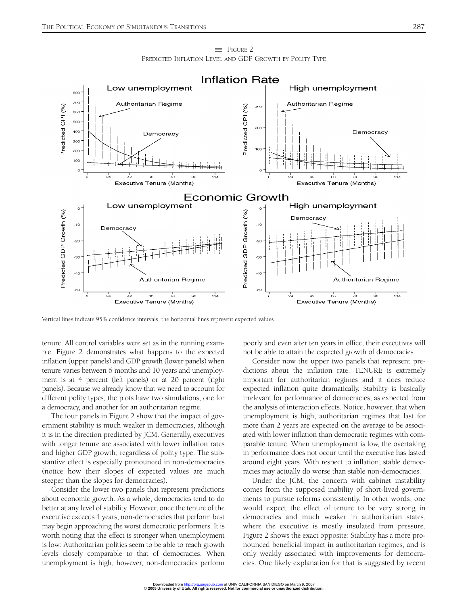



Vertical lines indicate 95% confidence intervals, the horizontal lines represent expected values.

tenure. All control variables were set as in the running example. Figure 2 demonstrates what happens to the expected inflation (upper panels) and GDP growth (lower panels) when tenure varies between 6 months and 10 years and unemployment is at 4 percent (left panels) or at 20 percent (right panels). Because we already know that we need to account for different polity types, the plots have two simulations, one for a democracy, and another for an authoritarian regime.

The four panels in Figure 2 show that the impact of government stability is much weaker in democracies, although it is in the direction predicted by JCM. Generally, executives with longer tenure are associated with lower inflation rates and higher GDP growth, regardless of polity type. The substantive effect is especially pronounced in non-democracies (notice how their slopes of expected values are much steeper than the slopes for democracies).

Consider the lower two panels that represent predictions about economic growth. As a whole, democracies tend to do better at any level of stability. However, once the tenure of the executive exceeds 4 years, non-democracies that perform best may begin approaching the worst democratic performers. It is worth noting that the effect is stronger when unemployment is low: Authoritarian polities seem to be able to reach growth levels closely comparable to that of democracies. When unemployment is high, however, non-democracies perform

poorly and even after ten years in office, their executives will not be able to attain the expected growth of democracies.

Consider now the upper two panels that represent predictions about the inflation rate. TENURE is extremely important for authoritarian regimes and it does reduce expected inflation quite dramatically. Stability is basically irrelevant for performance of democracies, as expected from the analysis of interaction effects. Notice, however, that when unemployment is high, authoritarian regimes that last for more than 2 years are expected on the average to be associated with lower inflation than democratic regimes with comparable tenure. When unemployment is low, the overtaking in performance does not occur until the executive has lasted around eight years. With respect to inflation, stable democracies may actually do worse than stable non-democracies.

Under the JCM, the concern with cabinet instability comes from the supposed inability of short-lived governments to pursue reforms consistently. In other words, one would expect the effect of tenure to be very strong in democracies and much weaker in authoritarian states, where the executive is mostly insulated from pressure. Figure 2 shows the exact opposite: Stability has a more pronounced beneficial impact in authoritarian regimes, and is only weakly associated with improvements for democracies. One likely explanation for that is suggested by recent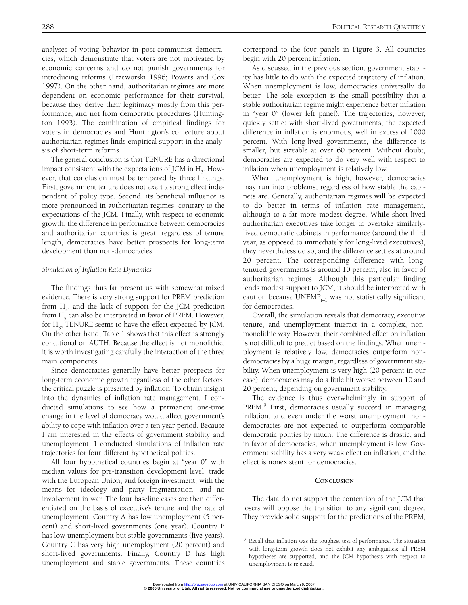analyses of voting behavior in post-communist democracies, which demonstrate that voters are not motivated by economic concerns and do not punish governments for introducing reforms (Przeworski 1996; Powers and Cox 1997). On the other hand, authoritarian regimes are more dependent on economic performance for their survival, because they derive their legitimacy mostly from this performance, and not from democratic procedures (Huntington 1993). The combination of empirical findings for voters in democracies and Huntington's conjecture about authoritarian regimes finds empirical support in the analysis of short-term reforms.

The general conclusion is that TENURE has a directional impact consistent with the expectations of JCM in  $H<sub>2</sub>$ . However, that conclusion must be tempered by three findings. First, government tenure does not exert a strong effect independent of polity type. Second, its beneficial influence is more pronounced in authoritarian regimes, contrary to the expectations of the JCM. Finally, with respect to economic growth, the difference in performance between democracies and authoritarian countries is great: regardless of tenure length, democracies have better prospects for long-term development than non-democracies.

## *Simulation of Inflation Rate Dynamics*

The findings thus far present us with somewhat mixed evidence. There is very strong support for PREM prediction from  $H_2$ , and the lack of support for the JCM prediction from  $H<sub>5</sub>$  can also be interpreted in favor of PREM. However, for  $H<sub>3</sub>$ , TENURE seems to have the effect expected by JCM. On the other hand, Table 1 shows that this effect is strongly conditional on AUTH. Because the effect is not monolithic, it is worth investigating carefully the interaction of the three main components.

Since democracies generally have better prospects for long-term economic growth regardless of the other factors, the critical puzzle is presented by inflation. To obtain insight into the dynamics of inflation rate management, I conducted simulations to see how a permanent one-time change in the level of democracy would affect government's ability to cope with inflation over a ten year period. Because I am interested in the effects of government stability and unemployment, I conducted simulations of inflation rate trajectories for four different hypothetical polities.

All four hypothetical countries begin at "year 0" with median values for pre-transition development level, trade with the European Union, and foreign investment; with the means for ideology and party fragmentation; and no involvement in war. The four baseline cases are then differentiated on the basis of executive's tenure and the rate of unemployment. Country A has low unemployment (5 percent) and short-lived governments (one year). Country B has low unemployment but stable governments (five years). Country C has very high unemployment (20 percent) and short-lived governments. Finally, Country D has high unemployment and stable governments. These countries

correspond to the four panels in Figure 3. All countries begin with 20 percent inflation.

As discussed in the previous section, government stability has little to do with the expected trajectory of inflation. When unemployment is low, democracies universally do better. The sole exception is the small possibility that a stable authoritarian regime might experience better inflation in "year 0" (lower left panel). The trajectories, however, quickly settle: with short-lived governments, the expected difference in inflation is enormous, well in excess of 1000 percent. With long-lived governments, the difference is smaller, but sizeable at over 60 percent. Without doubt, democracies are expected to do very well with respect to inflation when unemployment is relatively low.

When unemployment is high, however, democracies may run into problems, regardless of how stable the cabinets are. Generally, authoritarian regimes will be expected to do better in terms of inflation rate management, although to a far more modest degree. While short-lived authoritarian executives take longer to overtake similarlylived democratic cabinets in performance (around the third year, as opposed to immediately for long-lived executives), they nevertheless do so, and the difference settles at around 20 percent. The corresponding difference with longtenured governments is around 10 percent, also in favor of authoritarian regimes. Although this particular finding lends modest support to JCM, it should be interpreted with caution because UNEMP $_{t-1}$  was not statistically significant for democracies.

Overall, the simulation reveals that democracy, executive tenure, and unemployment interact in a complex, nonmonolithic way. However, their combined effect on inflation is not difficult to predict based on the findings. When unemployment is relatively low, democracies outperform nondemocracies by a huge margin, regardless of government stability. When unemployment is very high (20 percent in our case), democracies may do a little bit worse: between 10 and 20 percent, depending on government stability.

The evidence is thus overwhelmingly in support of PREM.<sup>9</sup> First, democracies usually succeed in managing inflation, and even under the worst unemployment, nondemocracies are not expected to outperform comparable democratic polities by much. The difference is drastic, and in favor of democracies, when unemployment is low. Government stability has a very weak effect on inflation, and the effect is nonexistent for democracies.

# **CONCLUSION**

The data do not support the contention of the JCM that losers will oppose the transition to any significant degree. They provide solid support for the predictions of the PREM,

Recall that inflation was the toughest test of performance. The situation with long-term growth does not exhibit any ambiguities: all PREM hypotheses are supported, and the JCM hypothesis with respect to unemployment is rejected.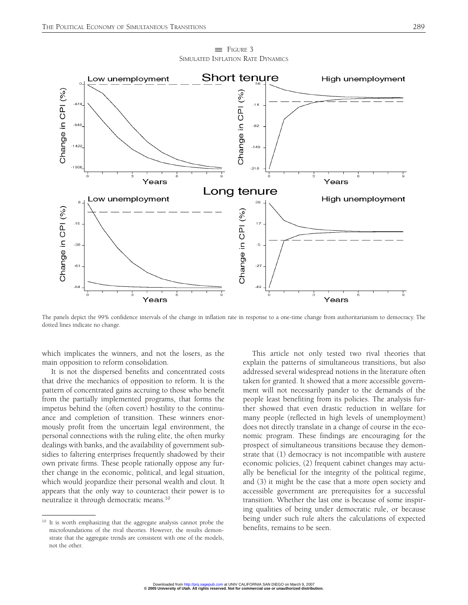

 $\equiv$  FIGURE 3 SIMULATED INFLATION RATE DYNAMICS

The panels depict the 99% confidence intervals of the change in inflation rate in response to a one-time change from authoritarianism to democracy. The dotted lines indicate no change.

which implicates the winners, and not the losers, as the main opposition to reform consolidation.

It is not the dispersed benefits and concentrated costs that drive the mechanics of opposition to reform. It is the pattern of concentrated gains accruing to those who benefit from the partially implemented programs, that forms the impetus behind the (often covert) hostility to the continuance and completion of transition. These winners enormously profit from the uncertain legal environment, the personal connections with the ruling elite, the often murky dealings with banks, and the availability of government subsidies to faltering enterprises frequently shadowed by their own private firms. These people rationally oppose any further change in the economic, political, and legal situation, which would jeopardize their personal wealth and clout. It appears that the only way to counteract their power is to neutralize it through democratic means.10

<sup>10</sup> It is worth emphasizing that the aggregate analysis cannot probe the microfoundations of the rival theories. However, the results demonstrate that the aggregate trends are consistent with one of the models, not the other.

This article not only tested two rival theories that explain the patterns of simultaneous transitions, but also addressed several widespread notions in the literature often taken for granted. It showed that a more accessible government will not necessarily pander to the demands of the people least benefiting from its policies. The analysis further showed that even drastic reduction in welfare for many people (reflected in high levels of unemployment) does not directly translate in a change of course in the economic program. These findings are encouraging for the prospect of simultaneous transitions because they demonstrate that (1) democracy is not incompatible with austere economic policies, (2) frequent cabinet changes may actually be beneficial for the integrity of the political regime, and (3) it might be the case that a more open society and accessible government are prerequisites for a successful transition. Whether the last one is because of some inspiring qualities of being under democratic rule, or because being under such rule alters the calculations of expected benefits, remains to be seen.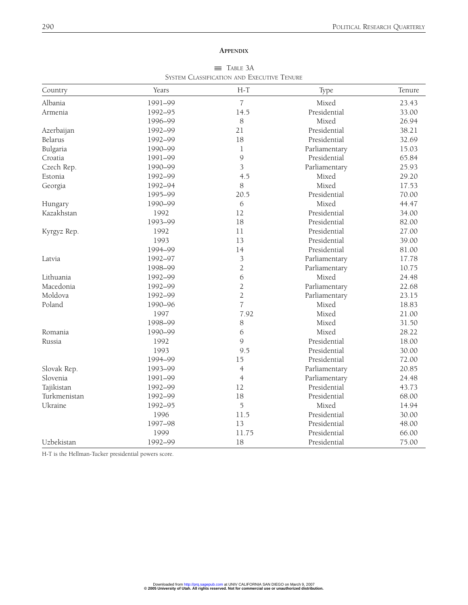# Country Years H-T Type Tenure Albania 1991–99 7 Mixed 23.43 Armenia 1992–95 14.5 Presidential 33.00 1996–99 8 Mixed 26.94 Azerbaijan 1992–99 21 Presidential 38.21 Belarus 1992–99 18 Presidential 32.69 Bulgaria 1990–99 1 Parliamentary 15.03 Croatia 1991–99 9 Presidential 65.84 Czech Rep. 1990–99 3 Parliamentary 25.93 Estonia 1992–99 4.5 Mixed 29.20 Georgia 1992–94 8 Mixed 17.53 1995–99 20.5 Presidential 70.00 Hungary 1990–99 6 Mixed 44.47 Kazakhstan 1992 12 Presidential 34.00 1993–99 18 Presidential 82.00 Kyrgyz Rep. 1992 11 Presidential 27.00 1993 13 Presidential 39.00 1994–99 14 Presidential 81.00 Latvia 1992–97 3 Parliamentary 17.78 1998–99 2 Parliamentary 10.75 Lithuania 1992–99 6 Mixed 24.48 Macedonia 1992–99 2 Parliamentary 22.68 Moldova 1992–99 2 Parliamentary 23.15 Poland 1990–96 7 Mixed 18.83 1997 7.92 Mixed 21.00 1998–99 8 Mixed 31.50 Romania 1990–99 6 Mixed 28.22 Russia 18.00 i 1992 1992 1992 1992 18.00 Russia Presidential 18.00 1993 9.5 Presidential 30.00 1994–99 15 Presidential 72.00 Slovak Rep. 1993–99 4 Parliamentary 20.85 Slovenia 1991–99 1991–99 4 Parliamentary 24.48 Tajikistan 1992–99 12 Presidential 43.73 Turkmenistan 1992–99 18 Presidential 68.00 Ukraine 1992–95 5 Mixed 14.94 1996 11.5 Presidential 30.00 1997–98 13 Presidential 48.00 1999 11.75 Presidential 66.00 Uzbekistan 1992–99 18 Presidential 75.00

| <b>APPENDIX</b> |  |
|-----------------|--|
|                 |  |

 $\equiv$  TABLE 3A SYSTEM CLASSIFICATION AND EXECUTIVE TENURE

H-T is the Hellman-Tucker presidential powers score.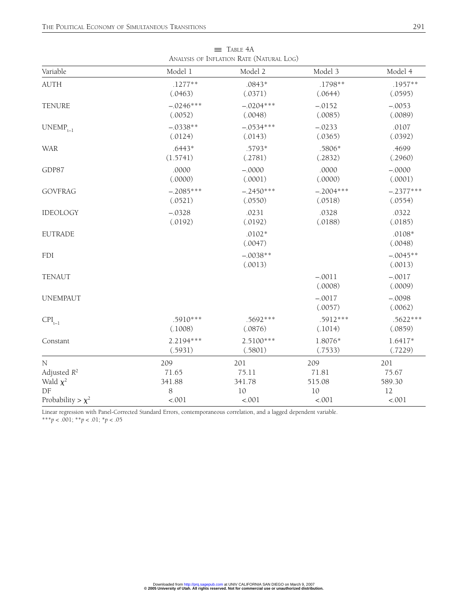|                             | TUVALISIS OF INFLATION IVALE (TVATOMAL LOG) |                        |                        |                        |  |
|-----------------------------|---------------------------------------------|------------------------|------------------------|------------------------|--|
| Variable                    | Model 1                                     | Model 2                | Model 3                | Model 4                |  |
| <b>AUTH</b>                 | $.1277**$<br>(.0463)                        | $.0843*$<br>(.0371)    | .1798**<br>(.0644)     | .1957**<br>(.0595)     |  |
| <b>TENURE</b>               | $-.0246***$<br>(.0052)                      | $-.0204***$<br>(.0048) | $-.0152$<br>(.0085)    | $-.0053$<br>(.0089)    |  |
| $\text{UNEMP}_{\text{t-1}}$ | $-.0338**$<br>(.0124)                       | $-.0534***$<br>(.0143) | $-.0233$<br>(.0365)    | .0107<br>(.0392)       |  |
| <b>WAR</b>                  | $.6443*$<br>(1.5741)                        | .5793*<br>(.2781)      | .5806*<br>(.2832)      | .4699<br>(.2960)       |  |
| GDP87                       | .0000<br>(.0000)                            | $-.0000$<br>(.0001)    | .0000<br>(.0000)       | $-.0000$<br>(.0001)    |  |
| <b>GOVFRAG</b>              | $-.2085***$<br>(.0521)                      | $-.2450***$<br>(.0550) | $-.2004***$<br>(.0518) | $-.2377***$<br>(.0554) |  |
| <b>IDEOLOGY</b>             | $-.0328$<br>(.0192)                         | .0231<br>(.0192)       | .0328<br>(.0188)       | .0322<br>(.0185)       |  |
| <b>EUTRADE</b>              |                                             | $.0102*$<br>(.0047)    |                        | $.0108*$<br>(.0048)    |  |
| FDI                         |                                             | $-.0038**$<br>(.0013)  |                        | $-.0045**$<br>(.0013)  |  |
| <b>TENAUT</b>               |                                             |                        | $-.0011$<br>(.0008)    | $-.0017$<br>(.0009)    |  |
| <b>UNEMPAUT</b>             |                                             |                        | $-.0017$<br>(.0057)    | $-.0098$<br>(.0062)    |  |
| $\mathrm{CPI}_{\text{t}-1}$ | $.5910***$<br>(.1008)                       | $.5692***$<br>(.0876)  | .5912***<br>(.1014)    | $.5622***$<br>(.0859)  |  |
| Constant                    | 2.2194 ***<br>(.5931)                       | $2.5100***$<br>(.5801) | 1.8076*<br>(.7533)     | 1.6417*<br>(.7229)     |  |
| N                           | 209                                         | 201                    | 209                    | 201                    |  |
| Adjusted $R^2$              | 71.65                                       | 75.11                  | 71.81                  | 75.67                  |  |
| Wald $\chi^2$               | 341.88                                      | 341.78                 | 515.08                 | 589.30                 |  |
| DF                          | 8                                           | 10                     | 10                     | 12                     |  |
| Probability > $\chi^2$      | $-.001$                                     | $-.001$                | $-.001$                | $-.001$                |  |

 $\equiv$  TABLE 4A ANALYSIS OF INFLATION RATE (NATURAL LOG)

Linear regression with Panel-Corrected Standard Errors, contemporaneous correlation, and a lagged dependent variable.

\*\*\**p* < .001; \*\**p* < .01; \**p* < .05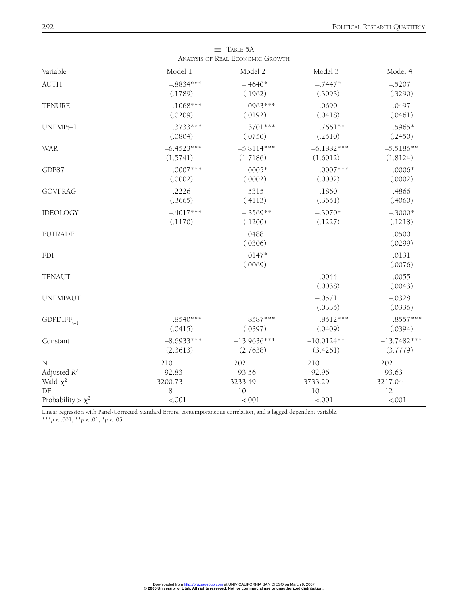|                        |              | AIVALISIS OF INEAL LUUNUMIU URUWIH |                     |                     |
|------------------------|--------------|------------------------------------|---------------------|---------------------|
| Variable               | Model 1      | Model 2                            | Model 3             | Model 4             |
| <b>AUTH</b>            | $-.8834***$  | $-.4640*$                          | $-.7447*$           | $-.5207$            |
|                        | (.1789)      | (.1962)                            | (.3093)             | (.3290)             |
| <b>TENURE</b>          | $.1068***$   | $.0963***$                         | .0690               | .0497               |
|                        | (.0209)      | (.0192)                            | (.0418)             | (.0461)             |
| UNEMPt-1               | $.3733***$   | $.3701***$                         | $.7661**$           | .5965*              |
|                        | (.0804)      | (.0750)                            | (.2510)             | (.2450)             |
| <b>WAR</b>             | $-6.4523***$ | $-5.8114***$                       | $-6.1882***$        | $-5.5186**$         |
|                        | (1.5741)     | (1.7186)                           | (1.6012)            | (1.8124)            |
| GDP87                  | $.0007***$   | $.0005*$                           | $.0007***$          | $.0006*$            |
|                        | (.0002)      | (.0002)                            | (.0002)             | (.0002)             |
| <b>GOVFRAG</b>         | .2226        | .5315                              | .1860               | .4866               |
|                        | (.3665)      | (.4113)                            | (.3651)             | (.4060)             |
| <b>IDEOLOGY</b>        | $-.4017***$  | $-.3569**$                         | $-.3070*$           | $-.3000*$           |
|                        | (.1170)      | (.1200)                            | (.1227)             | (.1218)             |
| <b>EUTRADE</b>         |              | .0488<br>(.0306)                   |                     | .0500<br>(.0299)    |
| FDI                    |              | $.0147*$<br>(.0069)                |                     | .0131<br>(.0076)    |
| <b>TENAUT</b>          |              |                                    | .0044<br>(.0038)    | .0055<br>(.0043)    |
| <b>UNEMPAUT</b>        |              |                                    | $-.0571$<br>(.0335) | $-.0328$<br>(.0336) |
| $GDPDIFF_{t-1}$        | $.8540***$   | .8587***                           | $.8512***$          | .8557***            |
|                        | (.0415)      | (.0397)                            | (.0409)             | (.0394)             |
| Constant               | $-8.6933***$ | $-13.9636***$                      | $-10.0124**$        | $-13.7482***$       |
|                        | (2.3613)     | (2.7638)                           | (3.4261)            | (3.7779)            |
| N                      | 210          | 202                                | 210                 | 202                 |
| Adjusted $R^2$         | 92.83        | 93.56                              | 92.96               | 93.63               |
| Wald $\chi^2$          | 3200.73      | 3233.49                            | 3733.29             | 3217.04             |
| DF                     | 8            | 10                                 | 10                  | 12                  |
| Probability > $\chi^2$ | $-.001$      | $-.001$                            | $-.001$             | $-.001$             |
|                        |              |                                    |                     |                     |

 $\equiv$  TABLE 5A ANALYSIS OF REAL ECONOMIC GROWTH

Linear regression with Panel-Corrected Standard Errors, contemporaneous correlation, and a lagged dependent variable.

\*\*\**p* < .001; \*\**p* < .01; \**p* < .05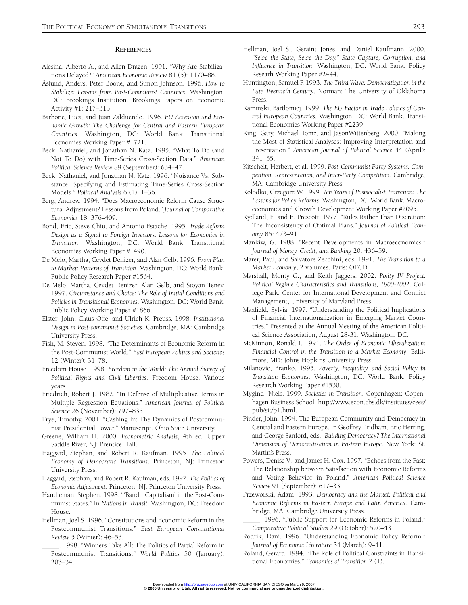#### **REFERENCES**

- Alesina, Alberto A., and Allen Drazen. 1991. "Why Are Stabilizations Delayed?" *American Economic Review* 81 (5): 1170–88.
- Åslund, Anders, Peter Boone, and Simon Johnson. 1996. *How to Stabilize: Lessons from Post-Communist Countries*. Washington, DC: Brookings Institution. Brookings Papers on Economic Activity #1: 217–313.
- Barbone, Luca, and Juan Zalduendo. 1996. *EU Accession and Economic Growth: The Challenge for Central and Eastern European Countries*. Washington, DC: World Bank. Transitional Economies Working Paper #1721.
- Beck, Nathaniel, and Jonathan N. Katz. 1995. "What To Do (and Not To Do) with Time-Series Cross-Section Data." *American Political Science Review* 89 (September): 634–47.
- Beck, Nathaniel, and Jonathan N. Katz. 1996. "Nuisance Vs. Substance: Specifying and Estimating Time-Series Cross-Section Models." *Political Analysis* 6 (1): 1–36.
- Berg, Andrew. 1994. "Does Macroeconomic Reform Cause Structural Adjustment? Lessons from Poland." *Journal of Comparative Economics* 18: 376–409.
- Bond, Eric, Steve Chiu, and Antonio Estache. 1995. *Trade Reform Design as a Signal to Foreign Investors: Lessons for Economies in Transition*. Washington, DC: World Bank. Transitional Economies Working Paper #1490.
- De Melo, Martha, Cevdet Denizer, and Alan Gelb. 1996. *From Plan to Market: Patterns of Transition*. Washington, DC: World Bank. Public Policy Research Paper #1564.
- De Melo, Martha, Cevdet Denizer, Alan Gelb, and Stoyan Tenev. 1997. *Circumstance and Choice: The Role of Initial Conditions and Policies in Transitional Economies*. Washington, DC: World Bank. Public Policy Working Paper #1866.
- Elster, John, Claus Offe, and Ulrich K. Preuss. 1998. *Institutional Design in Post-communist Societies*. Cambridge, MA: Cambridge University Press.
- Fish, M. Steven. 1998. "The Determinants of Economic Reform in the Post-Communist World." *East European Politics and Societies* 12 (Winter): 31–78.
- Freedom House. 1998. *Freedom in the World: The Annual Survey of Political Rights and Civil Liberties*. Freedom House. Various years.
- Friedrich, Robert J. 1982. "In Defense of Multiplicative Terms in Multiple Regression Equations." *American Journal of Political Science* 26 (November): 797–833.
- Frye, Timothy. 2001. "Cashing In: The Dynamics of Postcommunist Presidential Power." Manuscript. Ohio State University.
- Greene, William H. 2000. *Econometric Analysis*, 4th ed. Upper Saddle River, NJ: Prentice Hall.
- Haggard, Stephan, and Robert R. Kaufman. 1995. *The Political Economy of Democratic Transitions*. Princeton, NJ: Princeton University Press.
- Haggard, Stephan, and Robert R. Kaufman, eds. 1992. *The Politics of Economic Adjustment*. Princeton, NJ: Princeton University Press.
- Handleman, Stephen. 1998. "'Bandit Capitalism' in the Post-Communist States." In *Nations in Transit*. Washington, DC: Freedom House.
- Hellman, Joel S. 1996. "Constitutions and Economic Reform in the Postcommunist Transitions." *East European Constitutional Review* 5 (Winter): 46–53.
- \_\_\_\_\_. 1998. "Winners Take All: The Politics of Partial Reform in Postcommunist Transitions." *World Politics* 50 (January): 203–34.
- Hellman, Joel S., Geraint Jones, and Daniel Kaufmann. 2000. *"Seize the State, Seize the Day." State Capture, Corruption, and Influence in Transition*. Washington, DC: World Bank. Policy Researh Working Paper #2444.
- Huntington, Samuel P. 1993. *The Third Wave: Democratization in the Late Twentieth Century*. Norman: The University of Oklahoma Press.
- Kaminski, Bartlomiej. 1999. *The EU Factor in Trade Policies of Central European Countries*. Washington, DC: World Bank. Transitional Economies Working Paper #2239.
- King, Gary, Michael Tomz, and JasonWittenberg. 2000. "Making the Most of Statistical Analyses: Improving Interpretation and Presentation." *American Journal of Political Science* 44 (April): 341–55.
- Kitschelt, Herbert, et al. 1999. *Post-Communist Party Systems: Competition, Representation, and Inter-Party Competition*. Cambridge, MA: Cambridge University Press.
- Kolodko, Grzegorz W. 1999. *Ten Years of Postsocialist Transition: The Lessons for Policy Reforms*. Washington, DC: World Bank. Macroeconomics and Growth Development Working Paper #2095.
- Kydland, F., and E. Prescott. 1977. "Rules Rather Than Discretion: The Inconsistency of Optimal Plans." *Journal of Political Economy* 85: 473–91.
- Mankiw, G. 1988. "Recent Developments in Macroeconomics." *Journal of Money, Credit, and Banking* 20: 436–59.
- Marer, Paul, and Salvatore Zecchini, eds. 1991. *The Transition to a Market Economy*, 2 volumes. Paris: OECD.
- Marshall, Monty G., and Keith Jaggers. 2002. *Polity IV Project: Political Regime Characteristics and Transitions, 1800-2002*. College Park: Center for International Development and Conflict Management, University of Maryland Press.
- Maxfield, Sylvia. 1997. "Understanding the Political Implications of Financial Internationalization in Emerging Market Countries." Presented at the Annual Meeting of the American Political Science Association, August 28-31. Washington, DC.
- McKinnon, Ronald I. 1991. *The Order of Economic Liberalization: Financial Control in the Transition to a Market Economy*. Baltimore, MD: Johns Hopkins University Press.
- Milanovic, Branko. 1995. *Poverty, Inequality, and Social Policy in Transition Economies*. Washington, DC: World Bank. Policy Research Working Paper #1530.
- Mygind, Niels. 1999. *Societies in Transition*. Copenhagen: Copenhagen Business School. http://www.econ.cbs.dk/institutes/cees/ pub/sit/p1.html.
- Pinder, John. 1994. The European Community and Democracy in Central and Eastern Europe. In Geoffrey Pridham, Eric Herring, and George Sanford, eds., *Building Democracy? The International Dimension of Democratisation in Eastern Europe*. New York: St. Martin's Press.
- Powers, Denise V., and James H. Cox. 1997. "Echoes from the Past: The Relationship between Satisfaction with Economic Reforms and Voting Behavior in Poland." *American Political Science Review* 91 (September): 617–33.
- Przeworski, Adam. 1993. *Democracy and the Market: Political and Economic Reforms in Eastern Europe and Latin America*. Cambridge, MA: Cambridge University Press.
- \_\_\_\_\_. 1996. "Public Support for Economic Reforms in Poland." *Comparative Political Studies* 29 (October): 520–43.
- Rodrik, Dani. 1996. "Understanding Economic Policy Reform." *Journal of Economic Literature* 34 (March): 9–41.
- Roland, Gerard. 1994. "The Role of Political Constraints in Transitional Economies." *Economics of Transition* 2 (1).